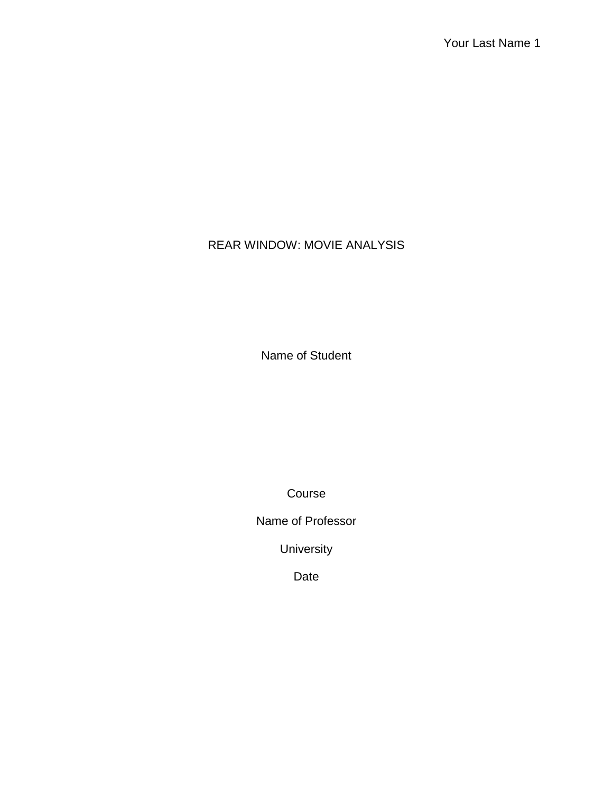# REAR WINDOW: MOVIE ANALYSIS

Name of Student

Course

Name of Professor

University

Date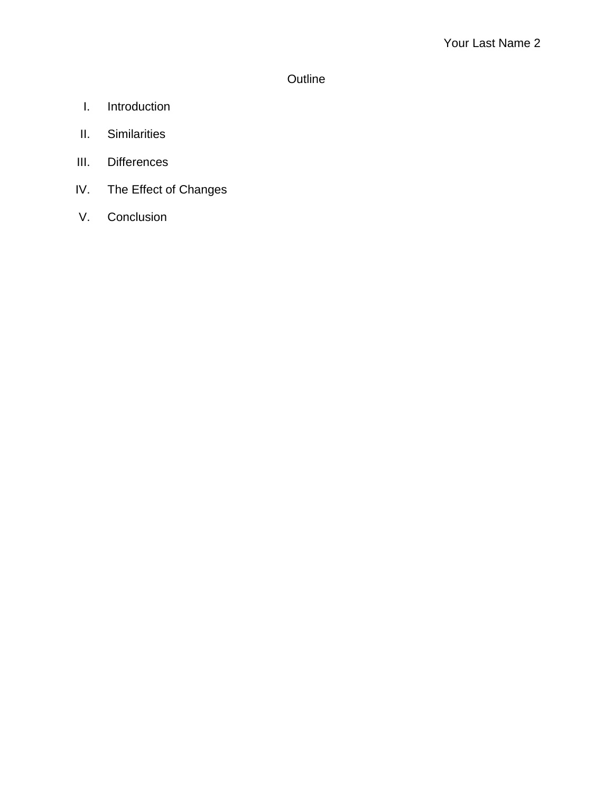# **Outline**

- I. Introduction
- II. Similarities
- III. Differences
- IV. The Effect of Changes
- V. Conclusion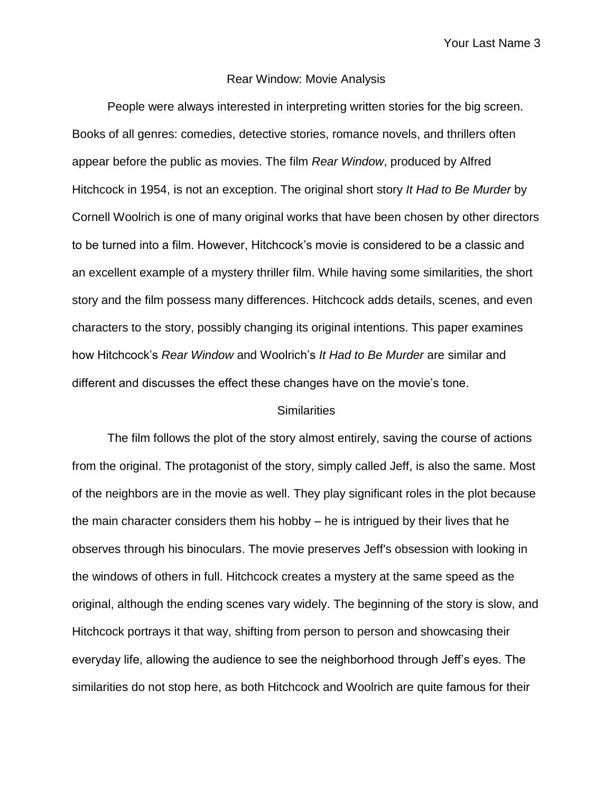Your Last Name 3

### Rear Window: Movie Analysis

People were always interested in interpreting written stories for the big screen. Books of all genres: comedies, detective stories, romance novels, and thrillers often appear before the public as movies. The film *Rear Window*, produced by Alfred Hitchcock in 1954, is not an exception. The original short story *It Had to Be Murder* by Cornell Woolrich is one of many original works that have been chosen by other directors to be turned into a film. However, Hitchcock's movie is considered to be a classic and an excellent example of a mystery thriller film. While having some similarities, the short story and the film possess many differences. Hitchcock adds details, scenes, and even characters to the story, possibly changing its original intentions. This paper examines how Hitchcock's *Rear Window* and Woolrich's *It Had to Be Murder* are similar and different and discusses the effect these changes have on the movie's tone.

### **Similarities**

The film follows the plot of the story almost entirely, saving the course of actions from the original. The protagonist of the story, simply called Jeff, is also the same. Most of the neighbors are in the movie as well. They play significant roles in the plot because the main character considers them his hobby – he is intrigued by their lives that he observes through his binoculars. The movie preserves Jeff's obsession with looking in the windows of others in full. Hitchcock creates a mystery at the same speed as the original, although the ending scenes vary widely. The beginning of the story is slow, and Hitchcock portrays it that way, shifting from person to person and showcasing their everyday life, allowing the audience to see the neighborhood through Jeff's eyes. The similarities do not stop here, as both Hitchcock and Woolrich are quite famous for their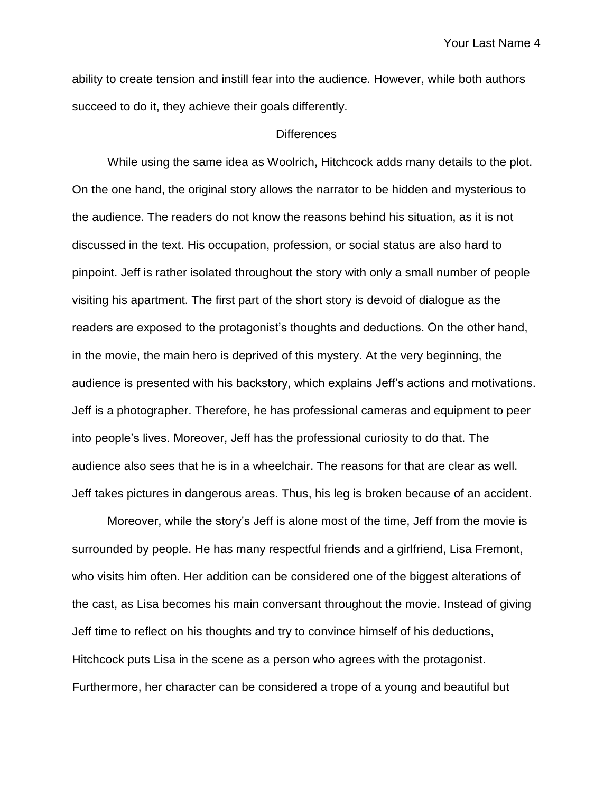Your Last Name 4

ability to create tension and instill fear into the audience. However, while both authors succeed to do it, they achieve their goals differently.

## **Differences**

While using the same idea as Woolrich, Hitchcock adds many details to the plot. On the one hand, the original story allows the narrator to be hidden and mysterious to the audience. The readers do not know the reasons behind his situation, as it is not discussed in the text. His occupation, profession, or social status are also hard to pinpoint. Jeff is rather isolated throughout the story with only a small number of people visiting his apartment. The first part of the short story is devoid of dialogue as the readers are exposed to the protagonist's thoughts and deductions. On the other hand, in the movie, the main hero is deprived of this mystery. At the very beginning, the audience is presented with his backstory, which explains Jeff's actions and motivations. Jeff is a photographer. Therefore, he has professional cameras and equipment to peer into people's lives. Moreover, Jeff has the professional curiosity to do that. The audience also sees that he is in a wheelchair. The reasons for that are clear as well. Jeff takes pictures in dangerous areas. Thus, his leg is broken because of an accident.

Moreover, while the story's Jeff is alone most of the time, Jeff from the movie is surrounded by people. He has many respectful friends and a girlfriend, Lisa Fremont, who visits him often. Her addition can be considered one of the biggest alterations of the cast, as Lisa becomes his main conversant throughout the movie. Instead of giving Jeff time to reflect on his thoughts and try to convince himself of his deductions, Hitchcock puts Lisa in the scene as a person who agrees with the protagonist. Furthermore, her character can be considered a trope of a young and beautiful but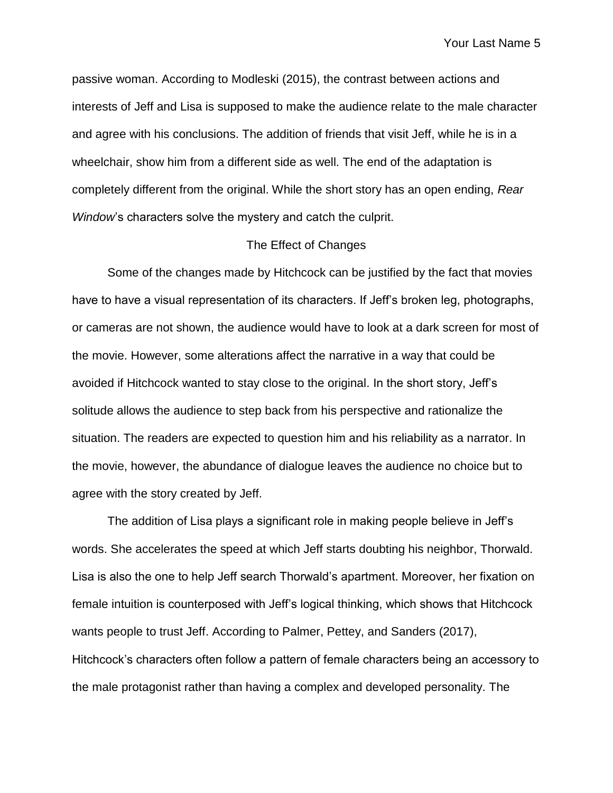Your Last Name 5

passive woman. According to Modleski (2015), the contrast between actions and interests of Jeff and Lisa is supposed to make the audience relate to the male character and agree with his conclusions. The addition of friends that visit Jeff, while he is in a wheelchair, show him from a different side as well. The end of the adaptation is completely different from the original. While the short story has an open ending, *Rear Window*'s characters solve the mystery and catch the culprit.

### The Effect of Changes

Some of the changes made by Hitchcock can be justified by the fact that movies have to have a visual representation of its characters. If Jeff's broken leg, photographs, or cameras are not shown, the audience would have to look at a dark screen for most of the movie. However, some alterations affect the narrative in a way that could be avoided if Hitchcock wanted to stay close to the original. In the short story, Jeff's solitude allows the audience to step back from his perspective and rationalize the situation. The readers are expected to question him and his reliability as a narrator. In the movie, however, the abundance of dialogue leaves the audience no choice but to agree with the story created by Jeff.

The addition of Lisa plays a significant role in making people believe in Jeff's words. She accelerates the speed at which Jeff starts doubting his neighbor, Thorwald. Lisa is also the one to help Jeff search Thorwald's apartment. Moreover, her fixation on female intuition is counterposed with Jeff's logical thinking, which shows that Hitchcock wants people to trust Jeff. According to Palmer, Pettey, and Sanders (2017), Hitchcock's characters often follow a pattern of female characters being an accessory to the male protagonist rather than having a complex and developed personality. The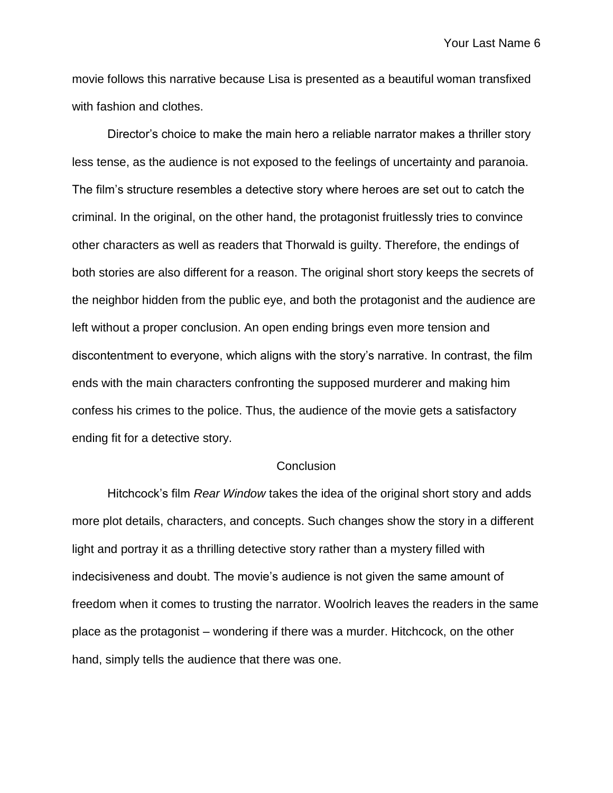movie follows this narrative because Lisa is presented as a beautiful woman transfixed with fashion and clothes.

Director's choice to make the main hero a reliable narrator makes a thriller story less tense, as the audience is not exposed to the feelings of uncertainty and paranoia. The film's structure resembles a detective story where heroes are set out to catch the criminal. In the original, on the other hand, the protagonist fruitlessly tries to convince other characters as well as readers that Thorwald is guilty. Therefore, the endings of both stories are also different for a reason. The original short story keeps the secrets of the neighbor hidden from the public eye, and both the protagonist and the audience are left without a proper conclusion. An open ending brings even more tension and discontentment to everyone, which aligns with the story's narrative. In contrast, the film ends with the main characters confronting the supposed murderer and making him confess his crimes to the police. Thus, the audience of the movie gets a satisfactory ending fit for a detective story.

#### **Conclusion**

Hitchcock's film *Rear Window* takes the idea of the original short story and adds more plot details, characters, and concepts. Such changes show the story in a different light and portray it as a thrilling detective story rather than a mystery filled with indecisiveness and doubt. The movie's audience is not given the same amount of freedom when it comes to trusting the narrator. Woolrich leaves the readers in the same place as the protagonist – wondering if there was a murder. Hitchcock, on the other hand, simply tells the audience that there was one.